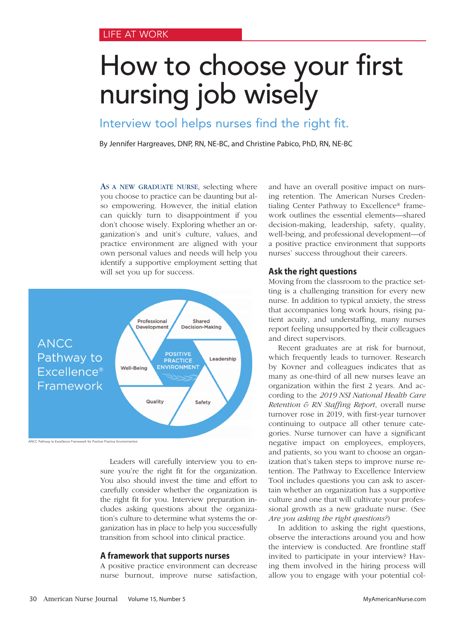# How to choose your first nursing job wisely

Interview tool helps nurses find the right fit.

By Jennifer Hargreaves, DNP, RN, NE-BC, and Christine Pabico, PhD, RN, NE-BC

AS A NEW GRADUATE NURSE, selecting where you choose to practice can be daunting but also empowering. However, the initial elation can quickly turn to disappointment if you don't choose wisely. Exploring whether an organization's and unit's culture, values, and practice environment are aligned with your own personal values and needs will help you identify a supportive employment setting that will set you up for success.



Leaders will carefully interview you to ensure you're the right fit for the organization. You also should invest the time and effort to carefully consider whether the organization is the right fit for you. Interview preparation includes asking questions about the organization's culture to determine what systems the organization has in place to help you successfully transition from school into clinical practice.

#### **A framework that supports nurses**

A positive practice environment can decrease nurse burnout, improve nurse satisfaction,

and have an overall positive impact on nursing retention. The American Nurses Credentialing Center Pathway to Excellence® framework outlines the essential elements—shared decision-making, leadership, safety, quality, well-being, and professional development—of a positive practice environment that supports nurses' success throughout their careers.

### **Ask the right questions**

Moving from the classroom to the practice setting is a challenging transition for every new nurse. In addition to typical anxiety, the stress that accompanies long work hours, rising patient acuity, and understaffing, many nurses report feeling unsupported by their colleagues and direct supervisors.

Recent graduates are at risk for burnout, which frequently leads to turnover. Research by Kovner and colleagues indicates that as many as one-third of all new nurses leave an organization within the first 2 years. And according to the *2019 NSI National Health Care Retention & RN Staffing Report*, overall nurse turnover rose in 2019, with first-year turnover continuing to outpace all other tenure categories. Nurse turnover can have a significant negative impact on employees, employers, and patients, so you want to choose an organization that's taken steps to improve nurse retention. The Pathway to Excellence Interview Tool includes questions you can ask to ascertain whether an organization has a supportive culture and one that will cultivate your professional growth as a new graduate nurse. (See *Are you asking the right questions?*)

In addition to asking the right questions, observe the interactions around you and how the interview is conducted. Are frontline staff invited to participate in your interview? Having them involved in the hiring process will allow you to engage with your potential col